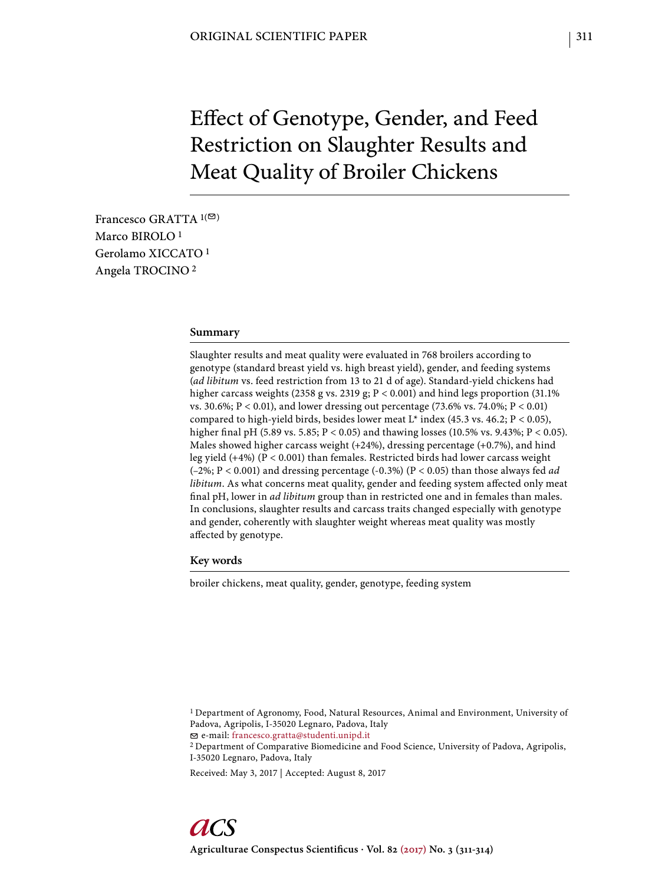# Effect of Genotype, Gender, and Feed Restriction on Slaughter Results and Meat Quality of Broiler Chickens

Francesco GRATTA  $1(\infty)$ Marco BIROLO<sup>1</sup> Gerolamo XICCATO 1 Angela TROCINO 2

### **Summary**

Slaughter results and meat quality were evaluated in 768 broilers according to genotype (standard breast yield vs. high breast yield), gender, and feeding systems (*ad libitum* vs. feed restriction from 13 to 21 d of age). Standard-yield chickens had higher carcass weights (2358 g vs. 2319 g; P < 0.001) and hind legs proportion (31.1% vs. 30.6%; P < 0.01), and lower dressing out percentage (73.6% vs. 74.0%; P < 0.01) compared to high-yield birds, besides lower meat L\* index (45.3 vs. 46.2;  $P < 0.05$ ), higher final pH (5.89 vs. 5.85; P < 0.05) and thawing losses (10.5% vs. 9.43%; P < 0.05). Males showed higher carcass weight (+24%), dressing percentage (+0.7%), and hind leg yield (+4%) (P < 0.001) than females. Restricted birds had lower carcass weight (–2%; P < 0.001) and dressing percentage (-0.3%) (P < 0.05) than those always fed *ad libitum*. As what concerns meat quality, gender and feeding system affected only meat final pH, lower in *ad libitum* group than in restricted one and in females than males. In conclusions, slaughter results and carcass traits changed especially with genotype and gender, coherently with slaughter weight whereas meat quality was mostly affected by genotype.

#### **Key words**

broiler chickens, meat quality, gender, genotype, feeding system

1 Department of Agronomy, Food, Natural Resources, Animal and Environment, University of Padova, Agripolis, I-35020 Legnaro, Padova, Italy

e-mail: francesco.gratta@studenti.unipd.it

2 Department of Comparative Biomedicine and Food Science, University of Padova, Agripolis, I-35020 Legnaro, Padova, Italy

Received: May 3, 2017 | Accepted: August 8, 2017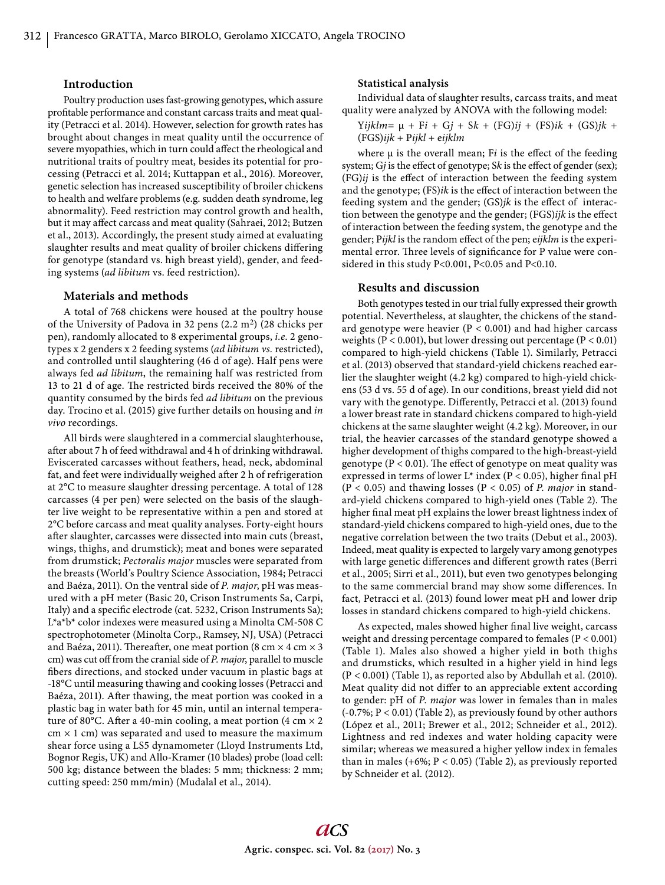# **Introduction**

Poultry production uses fast-growing genotypes, which assure profitable performance and constant carcass traits and meat quality (Petracci et al. 2014). However, selection for growth rates has brought about changes in meat quality until the occurrence of severe myopathies, which in turn could affect the rheological and nutritional traits of poultry meat, besides its potential for processing (Petracci et al. 2014; Kuttappan et al., 2016). Moreover, genetic selection has increased susceptibility of broiler chickens to health and welfare problems (e.g. sudden death syndrome, leg abnormality). Feed restriction may control growth and health, but it may affect carcass and meat quality (Sahraei, 2012; Butzen et al., 2013). Accordingly, the present study aimed at evaluating slaughter results and meat quality of broiler chickens differing for genotype (standard vs. high breast yield), gender, and feeding systems (*ad libitum* vs. feed restriction).

## **Materials and methods**

A total of 768 chickens were housed at the poultry house of the University of Padova in 32 pens (2.2 m2) (28 chicks per pen), randomly allocated to 8 experimental groups, *i.e.* 2 genotypes x 2 genders x 2 feeding systems (*ad libitum vs.* restricted), and controlled until slaughtering (46 d of age). Half pens were always fed *ad libitum*, the remaining half was restricted from 13 to 21 d of age. The restricted birds received the 80% of the quantity consumed by the birds fed *ad libitum* on the previous day. Trocino et al. (2015) give further details on housing and *in vivo* recordings.

All birds were slaughtered in a commercial slaughterhouse, after about 7 h of feed withdrawal and 4 h of drinking withdrawal. Eviscerated carcasses without feathers, head, neck, abdominal fat, and feet were individually weighed after 2 h of refrigeration at 2°C to measure slaughter dressing percentage. A total of 128 carcasses (4 per pen) were selected on the basis of the slaughter live weight to be representative within a pen and stored at 2°C before carcass and meat quality analyses. Forty-eight hours after slaughter, carcasses were dissected into main cuts (breast, wings, thighs, and drumstick); meat and bones were separated from drumstick; *Pectoralis major* muscles were separated from the breasts (World's Poultry Science Association, 1984; Petracci and Baéza, 2011). On the ventral side of *P. major*, pH was measured with a pH meter (Basic 20, Crison Instruments Sa, Carpi, Italy) and a specific electrode (cat. 5232, Crison Instruments Sa); L\*a\*b\* color indexes were measured using a Minolta CM-508 C spectrophotometer (Minolta Corp., Ramsey, NJ, USA) (Petracci and Baéza, 2011). Thereafter, one meat portion (8 cm  $\times$  4 cm  $\times$  3 cm) was cut off from the cranial side of *P. major*, parallel to muscle fibers directions, and stocked under vacuum in plastic bags at -18°C until measuring thawing and cooking losses (Petracci and Baéza, 2011). After thawing, the meat portion was cooked in a plastic bag in water bath for 45 min, until an internal temperature of 80°C. After a 40-min cooling, a meat portion (4 cm  $\times$  2  $cm \times 1$  cm) was separated and used to measure the maximum shear force using a LS5 dynamometer (Lloyd Instruments Ltd, Bognor Regis, UK) and Allo-Kramer (10 blades) probe (load cell: 500 kg; distance between the blades: 5 mm; thickness: 2 mm; cutting speed: 250 mm/min) (Mudalal et al., 2014).

### **Statistical analysis**

Individual data of slaughter results, carcass traits, and meat quality were analyzed by ANOVA with the following model:

$$
Yijklm = \mu + Fi + Gj + Sk + (FG)ij + (FS)ik + (GS)jk +
$$
  
(FGS)*ijk* + *Pijkl* + *eijklm*

where  $\mu$  is the overall mean; Fi is the effect of the feeding system; Gj is the effect of genotype; Sk is the effect of gender (sex); (FG)*ij* is the effect of interaction between the feeding system and the genotype; (FS)*ik* is the effect of interaction between the feeding system and the gender; (GS)*jk* is the effect of interaction between the genotype and the gender; (FGS)*ijk* is the effect of interaction between the feeding system, the genotype and the gender; Pijkl is the random effect of the pen; eijklm is the experimental error. Three levels of significance for P value were considered in this study P<0.001, P<0.05 and P<0.10.

#### **Results and discussion**

Both genotypes tested in our trial fully expressed their growth potential. Nevertheless, at slaughter, the chickens of the standard genotype were heavier ( $P < 0.001$ ) and had higher carcass weights ( $P < 0.001$ ), but lower dressing out percentage ( $P < 0.01$ ) compared to high-yield chickens (Table 1). Similarly, Petracci et al. (2013) observed that standard-yield chickens reached earlier the slaughter weight (4.2 kg) compared to high-yield chickens (53 d vs. 55 d of age). In our conditions, breast yield did not vary with the genotype. Differently, Petracci et al. (2013) found a lower breast rate in standard chickens compared to high-yield chickens at the same slaughter weight (4.2 kg). Moreover, in our trial, the heavier carcasses of the standard genotype showed a higher development of thighs compared to the high-breast-yield genotype ( $P < 0.01$ ). The effect of genotype on meat quality was expressed in terms of lower  $L^*$  index (P < 0.05), higher final pH (P < 0.05) and thawing losses (P < 0.05) of *P. major* in standard-yield chickens compared to high-yield ones (Table 2). The higher final meat pH explains the lower breast lightness index of standard-yield chickens compared to high-yield ones, due to the negative correlation between the two traits (Debut et al., 2003). Indeed, meat quality is expected to largely vary among genotypes with large genetic differences and different growth rates (Berri et al., 2005; Sirri et al., 2011), but even two genotypes belonging to the same commercial brand may show some differences. In fact, Petracci et al. (2013) found lower meat pH and lower drip losses in standard chickens compared to high-yield chickens.

As expected, males showed higher final live weight, carcass weight and dressing percentage compared to females (P < 0.001) (Table 1). Males also showed a higher yield in both thighs and drumsticks, which resulted in a higher yield in hind legs (P < 0.001) (Table 1), as reported also by Abdullah et al. (2010). Meat quality did not differ to an appreciable extent according to gender: pH of *P. major* was lower in females than in males (-0.7%; P < 0.01) (Table 2), as previously found by other authors (López et al., 2011; Brewer et al., 2012; Schneider et al., 2012). Lightness and red indexes and water holding capacity were similar; whereas we measured a higher yellow index in females than in males  $(+6\%; P < 0.05)$  (Table 2), as previously reported by Schneider et al. (2012).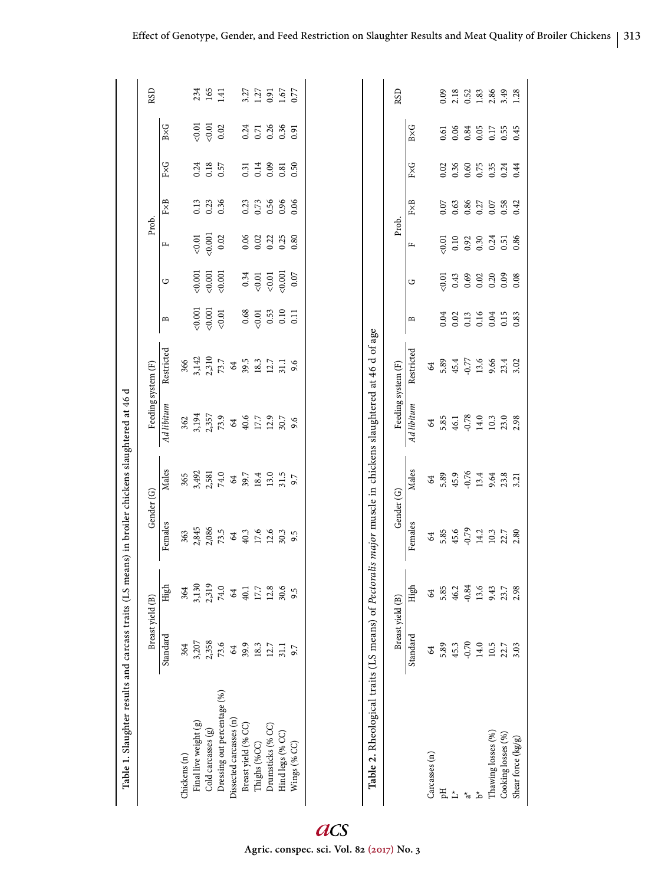| Table 1. Slaughter results and carcass traits (LS means) in broiler chickens slaughtered at 46 d         |                                                     |               |                                                                                                         |               |                    |                     |                     |          |                  |                  |                                                     |                            |                              |
|----------------------------------------------------------------------------------------------------------|-----------------------------------------------------|---------------|---------------------------------------------------------------------------------------------------------|---------------|--------------------|---------------------|---------------------|----------|------------------|------------------|-----------------------------------------------------|----------------------------|------------------------------|
|                                                                                                          | Breast yield (B)                                    |               | Gender (G)                                                                                              |               |                    | Feeding system (F)  |                     |          | Prob.            |                  |                                                     |                            | <b>RSD</b>                   |
|                                                                                                          | Standard                                            | High          | Females                                                                                                 | Males         | Ad libitum         | Restricted          | $\mathbf{p}$        | ن        | щ                | $_{\rm FxB}$     | $_{\rm FAG}$                                        | $B\times G$                |                              |
| Chickens (n)                                                                                             | 364                                                 | 364           | 363                                                                                                     | 365           |                    | 366                 |                     |          |                  |                  |                                                     |                            |                              |
| Final live weight (g)                                                                                    | 3,207                                               | 3,130         | 2,845                                                                                                   | 3,492         | 362<br>3,194       | 3,142               | 0.001               | 0.001    | &0.01            | 0.13             |                                                     | 50.01                      | 234                          |
| Cold carcasses (g)                                                                                       | 2,358                                               | 2,319         | 2,086                                                                                                   | 2,581         | 2,357              |                     | 0.001               | 0.001    | 0.001            | 0.23             | $0.24$<br>$0.18$                                    | $<0.01$                    | 165                          |
| Dressing out percentage (%)                                                                              | 73.6                                                |               | 73.5                                                                                                    | $74.0\,$      | 73.9               | 2,310<br>73.7<br>64 | $<0.01$             | 0.001    | 0.02             | 0.36             | 0.57                                                | 0.02                       | 1.41                         |
| Dissected carcasses (n)                                                                                  | $\mathcal{Z}$                                       | 74.0<br>64    | $\mathfrak{A}% _{T}=\mathfrak{B}_{T}\!\left( a,b\right) ,\ \mathfrak{C}_{T}=C_{T}\!\left( a,b\right) ,$ | $\mathcal{Z}$ | $\mathcal{Z}$      |                     |                     |          |                  |                  |                                                     |                            |                              |
| Breast yield (% CC)                                                                                      | 39.9                                                | $40.1$        | 40.3                                                                                                    | 39.7          | 40.6               | 39.5                | 0.68                | 0.34     | 0.06             | 0.23             | 0.31                                                |                            |                              |
| Thighs (%CC)                                                                                             | 18.3                                                |               | 17.6                                                                                                    | 18.4          | 17.7               | $18.3\,$            |                     | $<0.01$  | 0.02             | 0.73             |                                                     | 0.71                       |                              |
| Drumsticks (% CC)                                                                                        | 12.7                                                | 17.7<br>12.8  | 12.6                                                                                                    | 13.0          | 12.9               | 12.7                | $\frac{0.01}{0.53}$ | $<0.01$  |                  | 0.56             | 0.14                                                | $0.36$<br>$0.36$<br>$0.91$ | 3.27<br>1.27<br>1.67<br>1.67 |
| Hind legs (% CC)                                                                                         | 31.1                                                | 30.6          | 30.3                                                                                                    | 31.5          | 30.7               | 31.1                |                     | 0.001    | $0.22$<br>$0.25$ | 0.96             | 0.81                                                |                            |                              |
| Wings (% CC)                                                                                             | 9.7                                                 | 9.5           | 9.5                                                                                                     | 9.7           | 9.6                | 9.6                 | 0.11                | $0.07\,$ | 0.80             | 0.06             | 0.50                                                |                            |                              |
| Table 2. Rheological traits (LS means) of Pectoralis major muscle in chickens slaughtered at 46 d of age |                                                     |               |                                                                                                         |               |                    |                     |                     |          |                  |                  |                                                     |                            |                              |
|                                                                                                          | Breast yield (B)                                    |               | Gender (G)                                                                                              |               | Feeding system (F) |                     |                     |          | Prob.            |                  |                                                     |                            | RSD                          |
|                                                                                                          | Standard                                            | High          | Females                                                                                                 | Males         | Ad libitum         | Restricted          | m                   | ن        | щ                | FXB              | FxG                                                 | $B\times G$                |                              |
| Carcasses (n)                                                                                            | $\mathcal{Z}$                                       | $\mathcal{Z}$ | $\mathcal{Z}$                                                                                           | $\mathcal{L}$ | $\mathcal{Z}$      | $\mathcal{Z}$       |                     |          |                  |                  |                                                     |                            |                              |
| FЦ                                                                                                       | 5.89                                                | 5.85          | 5.85                                                                                                    | 5.89          | 5.85               | 5.89                | 0.04                | 50.01    | 50.01            | 0.07             | 0.02                                                | 0.61                       | 0.09                         |
| $\stackrel{\star}{\sqcup}$                                                                               | 45.3                                                | 46.2          | 45.6                                                                                                    | 45.9          | 46.1               | $45.4$<br>$-0.77$   | 0.02                | 0.43     | 0.10             |                  | 0.36                                                | 0.06                       |                              |
| $\vec{a}$                                                                                                | $-0.70$                                             | $-0.84$       | $-0.79$                                                                                                 | $-0.76$       | $-0.78$            |                     | 0.13                | 0.69     | 0.92             | $0.63$<br>$0.86$ | 0.60                                                | 0.84                       | 2.18<br>0.52                 |
| ∱                                                                                                        | $14.0$                                              | 13.6          | 14.2                                                                                                    | 13.4          | 14.0               | 13.6                | 0.16                | 0.02     | 0.30             | $0.27$<br>0.07   |                                                     | 0.05                       | $1.83$<br>$2.86$             |
| Thawing losses (%)                                                                                       |                                                     | 9.43          | $10.3\,$                                                                                                | 9.64          | 10.3               | 9.66                | 0.04                | 0.20     | 0.24             |                  |                                                     | 0.17                       |                              |
| Cooking losses (%)                                                                                       | $\begin{array}{c} 10.5 \\ 22.7 \\ 3.03 \end{array}$ | 23.7<br>2.98  | 22.7<br>2.80                                                                                            | 23.8<br>3.21  | 23.0<br>2.98       | 23.4<br>3.02        | 0.15                | 0.09     | 0.51             | 0.58             | $\begin{array}{c} 0.75 \\ 0.35 \\ 0.24 \end{array}$ | 0.55                       | 3.49                         |
| Shear force (kg/g)                                                                                       |                                                     |               |                                                                                                         |               |                    |                     | 0.83                | 0.08     | 0.86             | 0.42             | 0.44                                                | 0.45                       |                              |

acs **Agric. conspec. sci. Vol. 82 (2017) No. 3**